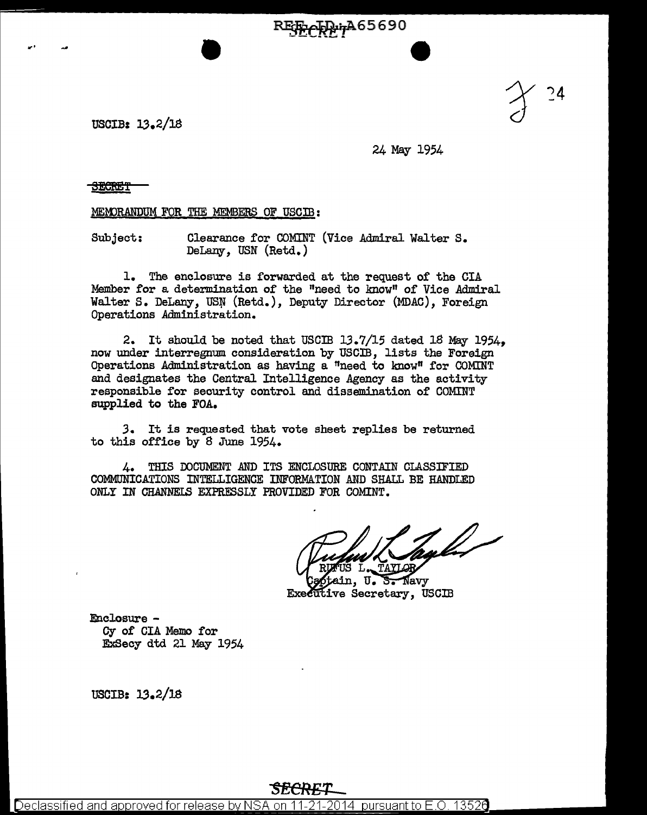**RESECRETA 65690** 

USCIB: 13.2/18

24 May 1954

**SECRET** 

....

MEMORANDUM FOR THE MEMBERS OF USCIB:

Subject: Clearance for COMINT (Vice Admiral Walter s. DeLany, USN (Retd.)

1. The enclosure is forwarded at the request of the CIA Member for a determination of the "need to know" of Vice Admiral Walter S. DeLany, USN (Retd.), Deputy Director (MDAC), Foreign Operations Administration.

2. It should be noted that USCIB 13.7/15 dated 18 May 1954, now under interregnum consideration by USCIB, lists the Foreign Operations Administration as having a "need to know" for COMINT and designates the Central Intelligence Agency as the activity responsible for security control and dissemination of COMINT supplied to the FOA.

*3.* It is requested that vote sheet replies be returned to this office by 8 June 1954.

4. THIS DOCUMENT AND ITS ENCLOSURE CONTAIN CLASSIFIED COMMUNICATIONS INTELLIGENCE INFORMATION AND SHALL BE HANDLED ONLY IN CHANNELS EXPRESSLY PROVIDED FOR COMINT.

Navv Executive Secretary, USCIB

Enclosure - Cy of CIA Memo for E:xSecy dtd 21 May 1954

USCIB: 13.2/18